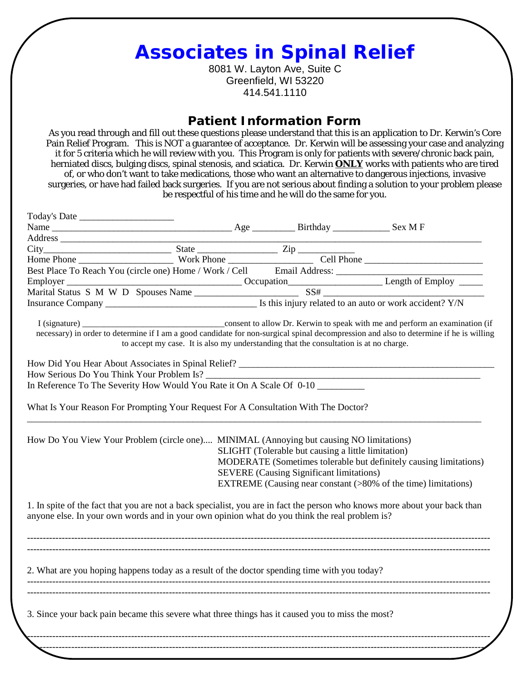## **Associates in Spinal Relief**

8081 W. Layton Ave, Suite C Greenfield, WI 53220 414.541.1110

## **Patient Information Form**

As you read through and fill out these questions please understand that this is an application to Dr. Kerwin's Core Pain Relief Program. This is NOT a guarantee of acceptance. Dr. Kerwin will be assessing your case and analyzing it for 5 criteria which he will review with you. This Program is only for patients with severe/chronic back pain, herniated discs, bulging discs, spinal stenosis, and sciatica. Dr. Kerwin **ONLY** works with patients who are tired of, or who don't want to take medications, those who want an alternative to dangerous injections, invasive surgeries, or have had failed back surgeries. If you are not serious about finding a solution to your problem please be respectful of his time and he will do the same for you.

| Address<br>Address<br>City<br>Home Phone Work Phone Work / Cell Email Address:<br>Best Place To Reach You (circle one) Home / Work / Cell Email Address:<br>Employer Cocupation Length of Employ —<br>Marital Status S M W D Spouses Name |                                                                                       |                                                                             |
|-------------------------------------------------------------------------------------------------------------------------------------------------------------------------------------------------------------------------------------------|---------------------------------------------------------------------------------------|-----------------------------------------------------------------------------|
|                                                                                                                                                                                                                                           |                                                                                       | consent to allow Dr. Kerwin to speak with me and perform an examination (if |
| I (signature) $\frac{\ }{\ }$<br>necessary) in order to determine if I am a good candidate for non-surgical spinal decompression and also to determine if he is willing                                                                   |                                                                                       |                                                                             |
|                                                                                                                                                                                                                                           | to accept my case. It is also my understanding that the consultation is at no charge. |                                                                             |
|                                                                                                                                                                                                                                           |                                                                                       |                                                                             |
|                                                                                                                                                                                                                                           |                                                                                       |                                                                             |
|                                                                                                                                                                                                                                           |                                                                                       |                                                                             |
| In Reference To The Severity How Would You Rate it On A Scale Of 0-10                                                                                                                                                                     |                                                                                       |                                                                             |
|                                                                                                                                                                                                                                           |                                                                                       |                                                                             |
| What Is Your Reason For Prompting Your Request For A Consultation With The Doctor?                                                                                                                                                        |                                                                                       |                                                                             |
|                                                                                                                                                                                                                                           |                                                                                       |                                                                             |
| How Do You View Your Problem (circle one) MINIMAL (Annoying but causing NO limitations)                                                                                                                                                   |                                                                                       |                                                                             |
|                                                                                                                                                                                                                                           | SLIGHT (Tolerable but causing a little limitation)                                    |                                                                             |
|                                                                                                                                                                                                                                           |                                                                                       | MODERATE (Sometimes tolerable but definitely causing limitations)           |
|                                                                                                                                                                                                                                           | <b>SEVERE</b> (Causing Significant limitations)                                       |                                                                             |
|                                                                                                                                                                                                                                           |                                                                                       | EXTREME (Causing near constant (>80% of the time) limitations)              |
|                                                                                                                                                                                                                                           |                                                                                       |                                                                             |
| 1. In spite of the fact that you are not a back specialist, you are in fact the person who knows more about your back than                                                                                                                |                                                                                       |                                                                             |
| anyone else. In your own words and in your own opinion what do you think the real problem is?                                                                                                                                             |                                                                                       |                                                                             |
|                                                                                                                                                                                                                                           |                                                                                       |                                                                             |
|                                                                                                                                                                                                                                           |                                                                                       |                                                                             |
|                                                                                                                                                                                                                                           |                                                                                       |                                                                             |
| 2. What are you hoping happens today as a result of the doctor spending time with you today?                                                                                                                                              |                                                                                       |                                                                             |
|                                                                                                                                                                                                                                           |                                                                                       |                                                                             |
|                                                                                                                                                                                                                                           |                                                                                       |                                                                             |
| 3. Since your back pain became this severe what three things has it caused you to miss the most?                                                                                                                                          |                                                                                       |                                                                             |
|                                                                                                                                                                                                                                           |                                                                                       |                                                                             |
|                                                                                                                                                                                                                                           |                                                                                       |                                                                             |
|                                                                                                                                                                                                                                           |                                                                                       |                                                                             |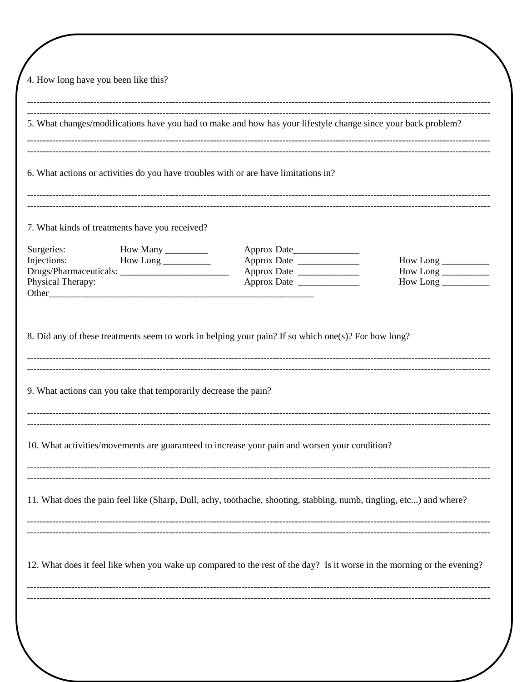| 4. How long have you been like this?<br>5. What changes/modifications have you had to make and how has your lifestyle change since your back problem? |                                                                  |                                                                                                                         |                     |  |
|-------------------------------------------------------------------------------------------------------------------------------------------------------|------------------------------------------------------------------|-------------------------------------------------------------------------------------------------------------------------|---------------------|--|
|                                                                                                                                                       |                                                                  |                                                                                                                         |                     |  |
| 6. What actions or activities do you have troubles with or are have limitations in?<br>7. What kinds of treatments have you received?                 |                                                                  |                                                                                                                         |                     |  |
|                                                                                                                                                       |                                                                  |                                                                                                                         |                     |  |
| Injections:                                                                                                                                           | $How Long \_\_$                                                  |                                                                                                                         | How Long            |  |
|                                                                                                                                                       |                                                                  |                                                                                                                         |                     |  |
| Physical Therapy:                                                                                                                                     |                                                                  |                                                                                                                         | $How Long ________$ |  |
|                                                                                                                                                       | 9. What actions can you take that temporarily decrease the pain? |                                                                                                                         |                     |  |
|                                                                                                                                                       |                                                                  | 10. What activities/movements are guaranteed to increase your pain and worsen your condition?                           |                     |  |
|                                                                                                                                                       |                                                                  | 11. What does the pain feel like (Sharp, Dull, achy, toothache, shooting, stabbing, numb, tingling, etc) and where?     |                     |  |
|                                                                                                                                                       |                                                                  | 12. What does it feel like when you wake up compared to the rest of the day? Is it worse in the morning or the evening? |                     |  |
|                                                                                                                                                       |                                                                  |                                                                                                                         |                     |  |